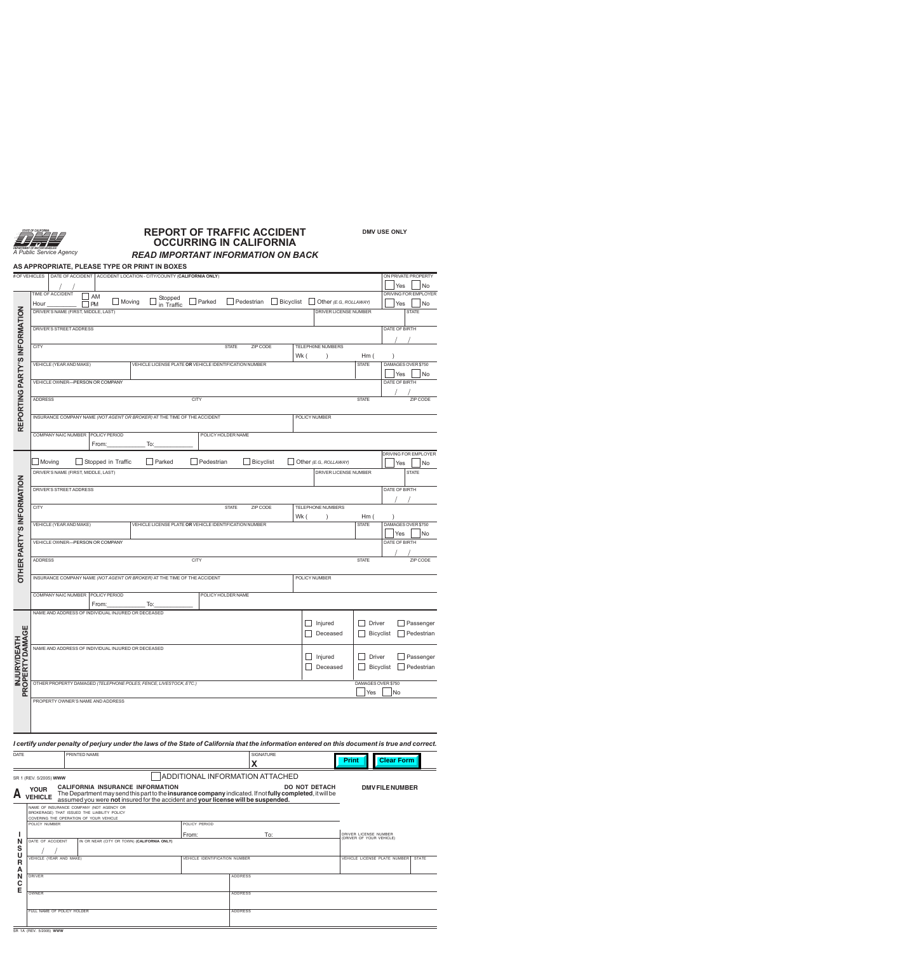

# **REPORT OF TRAFFIC ACCIDENT OCCURRING IN CALIFORNIA**

*READ IMPORTANT INFORMATION ON BACK*

#### **AS APPROPRIATE, PLEASE TYPE OR PRINT IN BOXES**

|                                  | # OF VEHICLES                                                                                                             |                             |                    |                                                        |     | DATE OF ACCIDENT ACCIDENT LOCATION - CITY/COUNTY (CALIFORNIA ONLY)       |            |                    |                  |                      |                                                                                                                                                 |                    |                   | ON PRIVATE PROPERTY               |
|----------------------------------|---------------------------------------------------------------------------------------------------------------------------|-----------------------------|--------------------|--------------------------------------------------------|-----|--------------------------------------------------------------------------|------------|--------------------|------------------|----------------------|-------------------------------------------------------------------------------------------------------------------------------------------------|--------------------|-------------------|-----------------------------------|
|                                  | <b>TIME OF ACCIDENT</b>                                                                                                   |                             |                    |                                                        |     |                                                                          |            |                    |                  |                      |                                                                                                                                                 |                    | Yes               | No<br><b>DRIVING FOR EMPLOYER</b> |
|                                  | AM<br>Stopped<br>in Traffic<br>Bicyclist<br>Moving<br>Parked<br>Pedestrian<br>Other (E.G., ROLLAWAY)<br>Hour<br><b>PM</b> |                             |                    |                                                        |     |                                                                          |            |                    |                  |                      | Yes                                                                                                                                             | No                 |                   |                                   |
|                                  | DRIVER'S NAME (FIRST, MIDDLE, LAST)<br>DRIVER LICENSE NUMBER                                                              |                             |                    |                                                        |     |                                                                          |            |                    |                  |                      | <b>STATE</b>                                                                                                                                    |                    |                   |                                   |
|                                  |                                                                                                                           |                             |                    |                                                        |     |                                                                          |            |                    |                  |                      |                                                                                                                                                 |                    |                   |                                   |
|                                  | DRIVER'S STREET ADDRESS                                                                                                   |                             |                    |                                                        |     |                                                                          |            |                    |                  | DATE OF BIRTH        |                                                                                                                                                 |                    |                   |                                   |
|                                  | <b>CITY</b><br>TELEPHONE NUMBERS<br><b>STATE</b><br>ZIP CODE                                                              |                             |                    |                                                        |     |                                                                          |            |                    |                  |                      |                                                                                                                                                 |                    |                   |                                   |
| REPORTING PARTY'S INFORMATION    | Wk (<br>Hm(<br>$\lambda$                                                                                                  |                             |                    |                                                        |     |                                                                          |            |                    |                  |                      |                                                                                                                                                 |                    |                   |                                   |
|                                  | VEHICLE (YEAR AND MAKE)                                                                                                   |                             |                    | VEHICLE LICENSE PLATE OR VEHICLE IDENTIFICATION NUMBER |     |                                                                          |            |                    |                  | <b>STATE</b>         |                                                                                                                                                 | DAMAGES OVER \$750 |                   |                                   |
|                                  | VEHICLE OWNER-PERSON OR COMPANY                                                                                           |                             |                    |                                                        |     |                                                                          |            |                    |                  | Yes<br>DATE OF BIRTH | No                                                                                                                                              |                    |                   |                                   |
|                                  |                                                                                                                           |                             |                    |                                                        |     |                                                                          |            |                    |                  |                      |                                                                                                                                                 |                    |                   |                                   |
|                                  | <b>ADDRESS</b><br><b>CITY</b><br><b>STATE</b>                                                                             |                             |                    |                                                        |     |                                                                          |            |                    |                  |                      |                                                                                                                                                 | ZIP CODE           |                   |                                   |
|                                  |                                                                                                                           |                             |                    |                                                        |     |                                                                          |            |                    |                  |                      |                                                                                                                                                 |                    |                   |                                   |
|                                  |                                                                                                                           |                             |                    |                                                        |     | INSURANCE COMPANY NAME (NOT AGENT OR BROKER) AT THE TIME OF THE ACCIDENT |            |                    |                  |                      | POLICY NUMBER                                                                                                                                   |                    |                   |                                   |
|                                  | COMPANY NAIC NUMBER   POLICY PERIOD                                                                                       |                             |                    |                                                        |     |                                                                          |            | POLICY HOLDER NAME |                  |                      |                                                                                                                                                 |                    |                   |                                   |
|                                  |                                                                                                                           |                             | From:              |                                                        | To: |                                                                          |            |                    |                  |                      |                                                                                                                                                 |                    |                   |                                   |
|                                  | Moving                                                                                                                    |                             | Stopped in Traffic |                                                        |     | Parked                                                                   | Pedestrian |                    | $\Box$ Bicyclist |                      | Other (E.G., ROLLAWAY)                                                                                                                          |                    |                   | DRIVING FOR EMPLOYER              |
|                                  | DRIVER'S NAME (FIRST, MIDDLE, LAST)                                                                                       |                             |                    |                                                        |     |                                                                          |            |                    |                  |                      | DRIVER LICENSE NUMBER                                                                                                                           |                    | Yes               | No<br><b>STATE</b>                |
|                                  |                                                                                                                           |                             |                    |                                                        |     |                                                                          |            |                    |                  |                      |                                                                                                                                                 |                    |                   |                                   |
|                                  | DRIVER'S STREET ADDRESS                                                                                                   |                             |                    |                                                        |     |                                                                          |            | DATE OF BIRTH      |                  |                      |                                                                                                                                                 |                    |                   |                                   |
|                                  |                                                                                                                           |                             |                    |                                                        |     |                                                                          |            |                    |                  |                      |                                                                                                                                                 |                    |                   |                                   |
|                                  | <b>CITY</b><br>TELEPHONE NUMBERS<br><b>STATE</b><br>ZIP CODE<br>Wk (<br>Hm(                                               |                             |                    |                                                        |     |                                                                          |            |                    |                  |                      |                                                                                                                                                 |                    |                   |                                   |
| <b>OTHER PARTY'S INFORMATION</b> | VEHICLE (YEAR AND MAKE)                                                                                                   |                             |                    |                                                        |     | VEHICLE LICENSE PLATE OR VEHICLE IDENTIFICATION NUMBER                   |            |                    |                  |                      |                                                                                                                                                 | <b>STATE</b>       |                   | DAMAGES OVER \$750                |
|                                  |                                                                                                                           |                             |                    |                                                        |     |                                                                          |            |                    |                  |                      |                                                                                                                                                 |                    | Yes               | No                                |
|                                  | VEHICLE OWNER-PERSON OR COMPANY                                                                                           |                             |                    |                                                        |     |                                                                          |            |                    |                  |                      |                                                                                                                                                 |                    | DATE OF BIRTH     |                                   |
|                                  | <b>ADDRESS</b>                                                                                                            | <b>CITY</b><br><b>STATE</b> |                    |                                                        |     |                                                                          |            |                    |                  |                      | ZIP CODE                                                                                                                                        |                    |                   |                                   |
|                                  |                                                                                                                           |                             |                    |                                                        |     |                                                                          |            |                    |                  |                      |                                                                                                                                                 |                    |                   |                                   |
|                                  | INSURANCE COMPANY NAME (NOT AGENT OR BROKER) AT THE TIME OF THE ACCIDENT<br>POLICY NUMBER                                 |                             |                    |                                                        |     |                                                                          |            |                    |                  |                      |                                                                                                                                                 |                    |                   |                                   |
|                                  | COMPANY NAIC NUMBER   POLICY PERIOD                                                                                       |                             | POLICY HOLDER NAME |                                                        |     |                                                                          |            |                    |                  |                      |                                                                                                                                                 |                    |                   |                                   |
|                                  |                                                                                                                           |                             | From:              |                                                        | To: |                                                                          |            |                    |                  |                      |                                                                                                                                                 |                    |                   |                                   |
|                                  | NAME AND ADDRESS OF INDIVIDUAL INJURED OR DECEASED                                                                        |                             |                    |                                                        |     |                                                                          |            |                    |                  |                      |                                                                                                                                                 |                    |                   |                                   |
|                                  |                                                                                                                           |                             |                    |                                                        |     |                                                                          |            |                    |                  |                      | Injured                                                                                                                                         | Driver             |                   | Passenger                         |
| INJURY/DEATH<br>PROPERTY DAMAGE  | Deceased                                                                                                                  |                             |                    |                                                        |     |                                                                          |            |                    | <b>Bicyclist</b> | $\Box$ Pedestrian    |                                                                                                                                                 |                    |                   |                                   |
|                                  | NAME AND ADDRESS OF INDIVIDUAL INJURED OR DECEASED                                                                        |                             |                    |                                                        |     |                                                                          |            |                    |                  |                      |                                                                                                                                                 |                    |                   |                                   |
|                                  | Injured<br><b>Driver</b>                                                                                                  |                             |                    |                                                        |     |                                                                          |            |                    |                  |                      | Passenger                                                                                                                                       |                    |                   |                                   |
|                                  | Deceased                                                                                                                  |                             |                    |                                                        |     |                                                                          |            |                    |                  | Bicyclist            | Pedestrian                                                                                                                                      |                    |                   |                                   |
|                                  | DAMAGES OVER \$750<br>OTHER PROPERTY DAMAGED (TELEPHONE POLES, FENCE, LIVESTOCK, ETC.)                                    |                             |                    |                                                        |     |                                                                          |            |                    |                  |                      |                                                                                                                                                 |                    |                   |                                   |
|                                  | Yes                                                                                                                       |                             |                    |                                                        |     |                                                                          |            |                    |                  | No                   |                                                                                                                                                 |                    |                   |                                   |
|                                  | PROPERTY OWNER'S NAME AND ADDRESS                                                                                         |                             |                    |                                                        |     |                                                                          |            |                    |                  |                      |                                                                                                                                                 |                    |                   |                                   |
|                                  |                                                                                                                           |                             |                    |                                                        |     |                                                                          |            |                    |                  |                      |                                                                                                                                                 |                    |                   |                                   |
|                                  |                                                                                                                           |                             |                    |                                                        |     |                                                                          |            |                    |                  |                      |                                                                                                                                                 |                    |                   |                                   |
|                                  |                                                                                                                           |                             |                    |                                                        |     |                                                                          |            |                    |                  |                      |                                                                                                                                                 |                    |                   |                                   |
|                                  |                                                                                                                           |                             |                    |                                                        |     |                                                                          |            |                    |                  |                      | I certify under penalty of perjury under the laws of the State of California that the information entered on this document is true and correct. |                    |                   |                                   |
| DATE                             |                                                                                                                           | PRINTED NAME                |                    |                                                        |     |                                                                          |            |                    | SIGNATURE<br>X   |                      |                                                                                                                                                 | <b>Print</b>       | <b>Clear Form</b> |                                   |

#### ADDITIONAL INFORMATION ATTACHED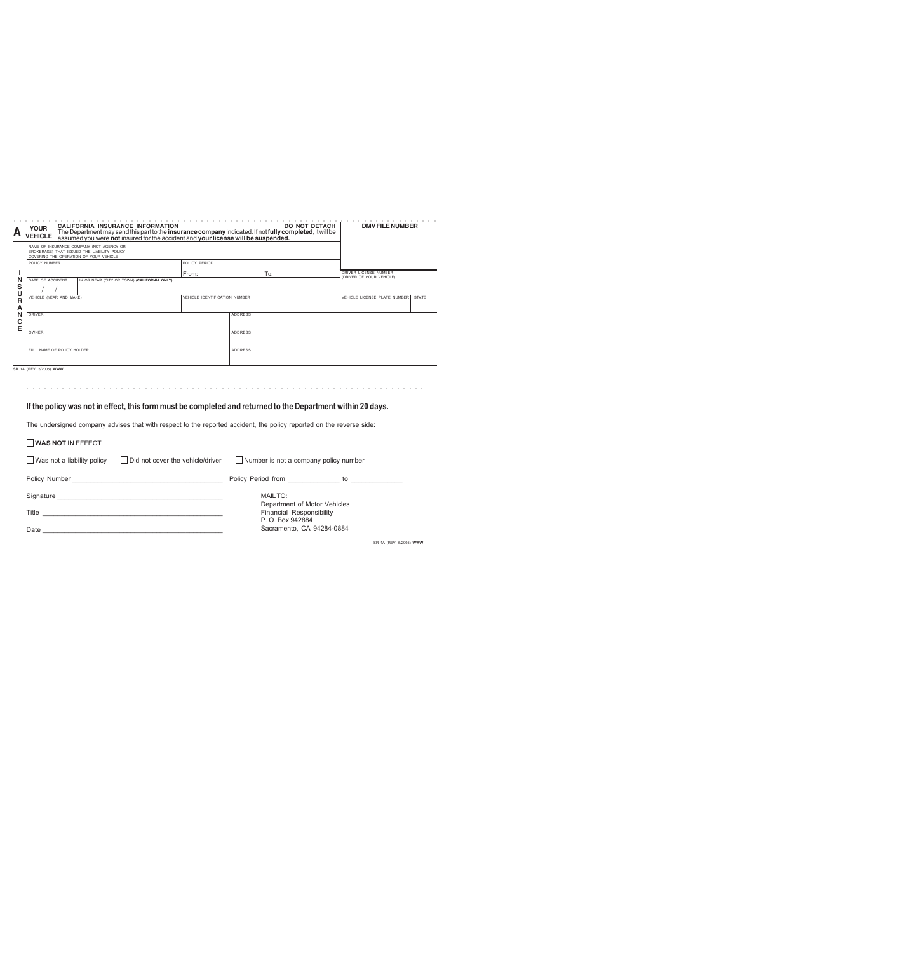| <b>YOUR</b><br><b>VEHICLE</b> | <b>CALIFORNIA INSURANCE INFORMATION</b> |                                                                                                                                                                                            | <b>DO NOT DETACH  </b>                      | <b>DMV FILE NUMBER</b>                                                                                                                                                                                                         |
|-------------------------------|-----------------------------------------|--------------------------------------------------------------------------------------------------------------------------------------------------------------------------------------------|---------------------------------------------|--------------------------------------------------------------------------------------------------------------------------------------------------------------------------------------------------------------------------------|
|                               |                                         |                                                                                                                                                                                            |                                             |                                                                                                                                                                                                                                |
| POLICY NUMBER                 |                                         | POLICY PERIOD                                                                                                                                                                              |                                             |                                                                                                                                                                                                                                |
|                               |                                         | From:                                                                                                                                                                                      | To:                                         | DRIVER LICENSE NUMBER<br>(DRIVER OF YOUR VEHICLE)                                                                                                                                                                              |
| DATE OF ACCIDENT              |                                         |                                                                                                                                                                                            |                                             |                                                                                                                                                                                                                                |
|                               |                                         |                                                                                                                                                                                            |                                             | VEHICLE LICENSE PLATE NUMBER<br><b>STATE</b>                                                                                                                                                                                   |
| <b>DRIVER</b>                 |                                         |                                                                                                                                                                                            | <b>ADDRESS</b>                              |                                                                                                                                                                                                                                |
| OWNER                         |                                         |                                                                                                                                                                                            | <b>ADDRESS</b>                              |                                                                                                                                                                                                                                |
|                               |                                         |                                                                                                                                                                                            | <b>ADDRESS</b>                              |                                                                                                                                                                                                                                |
|                               | SR 1A (REV. 5/2005) WWW                 | NAME OF INSURANCE COMPANY (NOT AGENCY OR<br>BROKERAGE) THAT ISSUED THE LIABILITY POLICY<br>COVERING THE OPERATION OF YOUR VEHICLE<br>VEHICLE (YEAR AND MAKE)<br>FULL NAME OF POLICY HOLDER | IN OR NEAR (CITY OR TOWN) (CALIFORNIA ONLY) | The Department may send this part to the insurance company indicated. If not fully completed, it will be<br>assumed you were not insured for the accident and your license will be suspended.<br>VEHICLE IDENTIFICATION NUMBER |

○○○○○○○○○○○○○○○○○○○○○○○○○○○○○○○○○○○○○○○○○○○○○ ○○○○○○○○○○○○○○○○○○○○○○○

## **If the policy was not in effect, this form must be completed and returned to the Department within 20 days.**

The undersigned company advises that with respect to the reported accident, the policy reported on the reverse side:

| WAS NOT IN EFFECT                 |                                  |                                              |                         |
|-----------------------------------|----------------------------------|----------------------------------------------|-------------------------|
| $\Box$ Was not a liability policy | Did not cover the vehicle/driver | Number is not a company policy number        |                         |
|                                   |                                  |                                              |                         |
|                                   |                                  | MAILTO:<br>Department of Motor Vehicles      |                         |
|                                   |                                  | Financial Responsibility<br>P. O. Box 942884 |                         |
|                                   |                                  | Sacramento, CA 94284-0884                    |                         |
|                                   |                                  |                                              | SR 1A (REV. 5/2005) WWW |